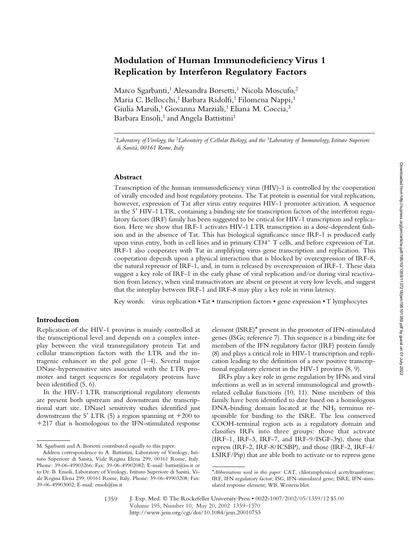# **Modulation of Human Immunodeficiency Virus 1 Replication by Interferon Regulatory Factors**

Marco Sgarbanti,<sup>1</sup> Alessandra Borsetti,<sup>1</sup> Nicola Moscufo,<sup>2</sup> Maria C. Bellocchi,<sup>1</sup> Barbara Ridolfi,<sup>1</sup> Filomena Nappi,<sup>1</sup> Giulia Marsili,<sup>1</sup> Giovanna Marziali,<sup>1</sup> Eliana M. Coccia,<sup>3</sup> Barbara Ensoli,<sup>1</sup> and Angela Battistini<sup>1</sup>

<sup>1</sup>*Laboratory of Virology, the* <sup>2</sup>*Laboratory of Cellular Biology, and the* <sup>3</sup>*Laboratory of Immunology, Istituto Superiore di Sanità, 00161 Rome, Italy*

## **Abstract**

Transcription of the human immunodeficiency virus (HIV)-1 is controlled by the cooperation of virally encoded and host regulatory proteins. The Tat protein is essential for viral replication, however, expression of Tat after virus entry requires HIV-1 promoter activation. A sequence in the 5' HIV-1 LTR, containing a binding site for transcription factors of the interferon regulatory factors (IRF) family has been suggested to be critical for HIV-1 transcription and replication. Here we show that IRF-1 activates HIV-1 LTR transcription in a dose-dependent fashion and in the absence of Tat. This has biological significance since IRF-1 is produced early upon virus entry, both in cell lines and in primary  $CD4^+$  T cells, and before expression of Tat. IRF-1 also cooperates with Tat in amplifying virus gene transcription and replication. This cooperation depends upon a physical interaction that is blocked by overexpression of IRF-8, the natural repressor of IRF-1, and, in turn is released by overexpression of IRF-1. These data suggest a key role of IRF-1 in the early phase of viral replication and/or during viral reactivation from latency, when viral transactivators are absent or present at very low levels, and suggest that the interplay between IRF-1 and IRF-8 may play a key role in virus latency.

Key words: virus replication • Tat • transcription factors • gene expression • T lymphocytes

# **Introduction**

Replication of the HIV-1 provirus is mainly controlled at the transcriptional level and depends on a complex interplay between the viral transregulatory protein Tat and cellular transcription factors with the LTR and the intragenic enhancer in the pol gene (1–4). Several major DNase-hypersensitive sites associated with the LTR promoter and target sequences for regulatory proteins have been identified (5, 6).

In the HIV-1 LTR transcriptional regulatory elements are present both upstream and downstream the transcriptional start site. DNaseI sensitivity studies identified just downstream the  $5'$  LTR (5) a region spanning nt  $+200$  to +217 that is homologous to the IFN-stimulated response

element (ISRE)\* present in the promoter of IFN-stimulated genes (ISGs; reference 7). This sequence is a binding site for members of the IFN regulatory factor (IRF) protein family (8) and plays a critical role in HIV-1 transcription and replication leading to the definition of a new positive transcriptional regulatory element in the HIV-1 provirus (8, 9).

IRFs play a key role in gene regulation by IFNs and viral infections as well as in several immunological and growthrelated cellular functions (10, 11). Nine members of this family have been identified to date based on a homologous DNA-binding domain located at the NH<sub>2</sub> terminus responsible for binding to the ISRE. The less conserved COOH-terminal region acts as a regulatory domain and classifies IRFs into three groups: those that activate  $(IRF-1, IRF-3, IRF-7, and IRF-9/ISGF-3\gamma)$ , those that repress (IRF-2, IRF-8/ICSBP), and those (IRF-2, IRF-4/ LSIRF/Pip) that are able both to activate or to repress gene

M. Sgarbanti and A. Borsetti contributed equally to this paper.

Address correspondence to A. Battistini, Laboratory of Virology, Istituto Superiore di Sanità, Viale Regina Elena 299, 00161 Rome, Italy. Phone: 39-06-49903266; Fax: 39-06-49902082; E-mail: battist@iss.it or to Dr. B. Ensoli, Laboratory of Virology, Istituto Superiore di Sanità, Viale Regina Elena 299, 00161 Rome, Italy. Phone: 39-06-49903208; Fax: 39-06-49903002; E-mail: ensoli@iss.it

<sup>\*</sup>*Abbreviations used in this paper:* CAT, chloramphenicol acetyltransferase; IRF, IFN regulatory factor; ISG, IFN-stimulated gene; ISRE, IFN-stimulated response element; WB, Western blot.

<sup>1359</sup>

J. Exp. Med. © The Rockefeller University Press • 0022-1007/2002/05/1359/12 \$5.00 Volume 195, Number 10, May 20, 2002 1359–1370 http://www.jem.org/cgi/doi/10.1084/jem.20010753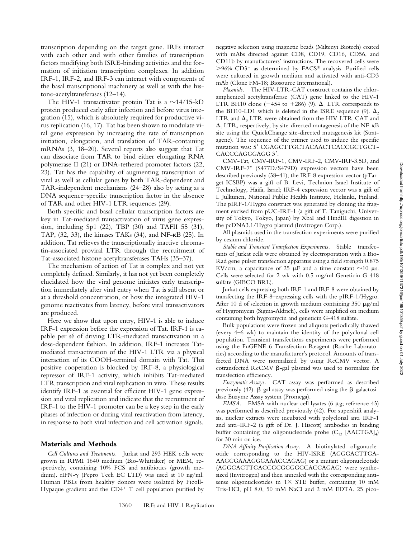transcription depending on the target gene. IRFs interact with each other and with other families of transcription factors modifying both ISRE-binding activities and the formation of initiation transcription complexes. In addition IRF-1, IRF-2, and IRF-3 can interact with components of the basal transcriptional machinery as well as with the histone-acetyltransferases (12–14).

The HIV-1 transactivator protein Tat is a  $\sim$ 14/15-kD protein produced early after infection and before virus integration (15), which is absolutely required for productive virus replication (16, 17). Tat has been shown to modulate viral gene expression by increasing the rate of transcription initiation, elongation, and translation of TAR-containing mRNAs (3, 18–20). Several reports also suggest that Tat can dissociate from TAR to bind either elongating RNA polymerase II (21) or DNA-tethered promoter factors (22, 23). Tat has the capability of augmenting transcription of viral as well as cellular genes by both TAR-dependent and TAR-independent mechanisms (24–28) also by acting as a DNA sequence–specific transcription factor in the absence of TAR and other HIV-1 LTR sequences (29).

Both specific and basal cellular transcription factors are key in Tat-mediated transactivation of virus gene expression, including Sp1 (22), TBP (30) and TAFII 55 (31), TAP,  $(32, 33)$ , the kinases TAKs  $(34)$ , and NF- $\kappa$ B  $(25)$ . In addition, Tat relieves the transcriptionally inactive chromatin-associated proviral LTR through the recruitment of Tat-associated histone acetyltransferases TAHs (35–37).

The mechanism of action of Tat is complex and not yet completely defined. Similarly, it has not yet been completely elucidated how the viral genome initiates early transcription immediately after viral entry when Tat is still absent or at a threshold concentration, or how the integrated HIV-1 genome reactivates from latency, before viral transactivators are produced.

Here we show that upon entry, HIV-1 is able to induce IRF-1 expression before the expression of Tat. IRF-1 is capable per sé of driving LTR-mediated transactivation in a dose-dependent fashion. In addition, IRF-1 increases Tatmediated transactivation of the HIV-1 LTR via a physical interaction of its COOH-terminal domain with Tat. This positive cooperation is blocked by IRF-8, a physiological repressor of IRF-1 activity, which inhibits Tat-mediated LTR transcription and viral replication in vivo. These results identify IRF-1 as essential for efficient HIV-1 gene expression and viral replication and indicate that the recruitment of IRF-1 to the HIV-1 promoter can be a key step in the early phases of infection or during viral reactivation from latency, in response to both viral infection and cell activation signals.

#### **Materials and Methods**

*Cell Cultures and Treatments.* Jurkat and 293 HEK cells were grown in RPMI 1640 medium (Bio-Whittaker) or MEM, respectively, containing 10% FCS and antibiotics (growth medium). rIFN- $\gamma$  (Pepro Tech EC LTD) was used at 10 ng/ml. Human PBLs from healthy donors were isolated by Ficoll-Hypaque gradient and the  $CD4^+$  T cell population purified by negative selection using magnetic beads (Miltenyi Biotech) coated with mAbs directed against CD8, CD19, CD16, CD56, and CD11b by manufacturers' instructions. The recovered cells were  $>96\%$  CD3<sup>+</sup> as determined by FACS<sup>®</sup> analysis. Purified cells were cultured in growth medium and activated with anti-CD3 mAb (Clone FM-18; Biosource International).

*Plasmids.* The HIV-LTR-CAT construct contains the chloramphenicol acetyltransferase (CAT) gene linked to the HIV-1 LTR BH10 clone (-454 to +286) (9).  $\Delta_1$  LTR corresponds to the BH10-LD1 which is deleted in the ISRE sequence (9).  $\Delta_2$ LTR and  $\Delta$ <sub>3</sub> LTR were obtained from the HIV-LTR-CAT and  $\Delta_1$  LTR, respectively, by site-directed mutagenesis of the NF- $\kappa$ B site using the QuickChange site-directed mutagenesis kit (Stratagene). The sequence of the primer used to induce the specific mutation was: 5' CGAGCTTGCTACAACTCACCGCTGCT-CACCCAGGGAGG 3'.

CMV-Tat, CMV-IRF-1, CMV-IRF-2, CMV-IRF-3.5D, and CMV-IRF-7\* (S477D/S479D) expression vectors have been described previously (38–41); the IRF-8 expression vector (pTarget-ICSBP) was a gift of B. Levi, Technion-Israel Institute of Technology, Haifa, Israel; IRF-4 expression vector was a gift of I. Julkunen, National Public Health Institute, Helsinki, Finland. The pIRF-1/Hygro construct was generated by cloning the fragment excised from pUC-IRF-1 (a gift of T. Taniguchi, University of Tokyo, Tokyo, Japan) by XbaI and HindIII digestion in the pcDNA3.1/Hygro plasmid (Invitrogen Corp.).

All plasmids used in the transfection experiments were purified by cesium chloride.

*Stable and Transient Transfection Experiments.* Stable transfectants of Jurkat cells were obtained by electroporation with a Bio-Rad gene pulser transfection apparatus using a field strength 0.875 KV/cm, a capacitance of 25  $\mu$ F and a time constant  $\sim$ 10  $\mu$ s. Cells were selected for 2 wk with 0.5 mg/ml Geneticin G-418 sulfate (GIBCO BRL).

Jurkat cells expressing both IRF-1 and IRF-8 were obtained by transfecting the IRF-8–expressing cells with the pIRF-1/Hygro. After 10 d of selection in growth medium containing  $350 \mu g/ml$ of Hygromycin (Sigma-Aldrich), cells were amplified on medium containing both hygromycin and geneticin G-418 sulfate.

Bulk populations were frozen and aliquots periodically thawed (every 4–6 wk) to maintain the identity of the polyclonal cell population. Transient transfections experiments were performed using the FuGENE 6 Transfection Reagent (Roche Laboratories) according to the manufacturer's protocol. Amounts of transfected DNA were normalized by using RcCMV vector. A cotransfected RcCMV  $\beta$ -gal plasmid was used to normalize for transfection efficiency.

*Enzymatic Assays.* CAT assay was performed as described previously (42).  $\beta$ -gal assay was performed using the  $\beta$ -galactosidase Enzyme Assay system (Promega).

*EMSA.* EMSA with nuclear cell lysates (6 µg; reference 43) was performed as described previously (42). For supershift analysis, nuclear extracts were incubated with polyclonal anti–IRF-1 and anti–IRF-2 (a gift of Dr. J. Hiscott) antibodies in binding buffer containing the oligonucleotide probe  $(C_{13}$  [AACTGA]<sub>4</sub>) for 30 min on ice.

*DNA Affinity Purification Assay.* A biotinylated oligonucleotide corresponding to the HIV-ISRE (AGGGACTTGA-AAGCGAAAGGGAAACCAGAG) or a mutant oligonucleotide (AGGGACTTGACCGCGGGGCCACCAGAG) were synthesized (Invitrogen) and then annealed with the corresponding antisense oligonucleotides in  $1 \times$  STE buffer, containing 10 mM Tris-HCl, pH 8.0, 50 mM NaCl and 2 mM EDTA. 25 pico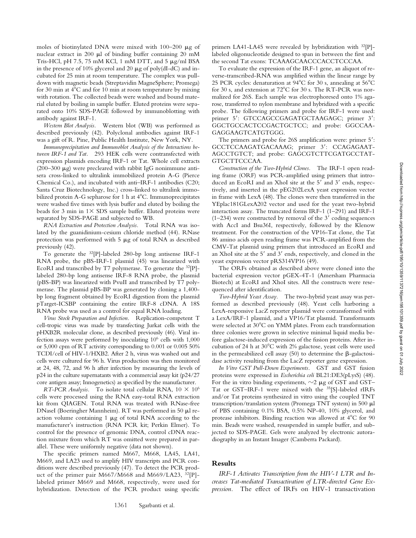moles of biotinylated DNA were mixed with  $100-200 \mu g$  of nuclear extract in 200  $\mu$ l of binding buffer containing 20 mM Tris-HCl, pH 7.5, 75 mM KCl, 1 mM DTT, and 5  $\mu$ g/ml BSA in the presence of 10% glycerol and 20  $\mu$ g of poly(dI-dC) and incubated for 25 min at room temperature. The complex was pulldown with magnetic beads (Streptavidin MagneSphere; Promega) for 30 min at  $4^{\circ}$ C and for 10 min at room temperature by mixing with rotation. The collected beads were washed and bound material eluted by boiling in sample buffer. Eluted proteins were separated onto 10% SDS-PAGE followed by immunoblotting with antibody against IRF-1.

*Western Blot Analysis.* Western blot (WB) was performed as described previously (42). Polyclonal antibodies against IRF-1 was a gift of R. Pine, Public Health Institute, New York, NY.

*Immunoprecipitation and Immunoblot Analysis of the Interactions between IRF-1 and Tat.* 293 HEK cells were contransfected with expression plasmids encoding IRF-1 or Tat. Whole cell extracts (200–300  $\mu$ g) were precleared with rabbit IgG nonimmune antisera cross-linked to ultralink immobilized protein A-G (Pierce Chemical Co.), and incubated with anti–IRF-1 antibodies (C20; Santa Cruz Biotechnology, Inc.) cross-linked to ultralink immobilized protein A-G sepharose for 1 h at 4°C. Immunoprecipitates were washed five times with lysis buffer and eluted by boiling the beads for 3 min in  $1 \times$  SDS sample buffer. Eluted proteins were separated by SDS-PAGE and subjected to WB.

*RNA Extraction and Protection Analysis.* Total RNA was isolated by the guanidinium-cesium chloride method (44). RNase protection was performed with  $5 \mu g$  of total RNA as described previously (42).

To generate the 32[P]-labeled 280-bp long antisense IRF-1 RNA probe, the pBS-IRF-1 plasmid (45) was linearized with EcoRI and transcribed by T7 polymerase. To generate the 32[P] labeled 280-bp long antisense IRF-8 RNA probe, the plasmid (pBS-BP) was linearized with PvuII and transcribed by T7 polymerase. The plasmid pBS-BP was generated by cloning a 1,400 bp long fragment obtained by EcoRI digestion from the plasmid pTarget-ICSBP containing the entire IRF-8 cDNA. A 18S RNA probe was used as a control for equal RNA loading.

*Virus Stock Preparation and Infection.* Replication-competent T cell-tropic virus was made by transfecting Jurkat cells with the pHXB2R molecular clone, as described previously (46). Viral infection assays were performed by inoculating 106 cells with 1,000 or 5,000 cpm of RT activity corresponding to 0.001 or 0.005 50% TCDI/cell of HIV-1/HXB2. After 2 h, virus was washed out and cells were cultured for 96 h. Virus production was then monitored at 24, 48, 72, and 96 h after infection by measuring the levels of p24 in the culture supernatants with a commercial assay kit (p24/27 core antigen assay; Innogenetics) as specified by the manufacturer.

*RT-PCR Analysis.* To isolate total cellular RNA,  $10 \times 10^6$ cells were processed using the RNA easy-total RNA extraction kit from QIAGEN. Total RNA was treated with RNase-free DNaseI (Boeringher Mannheim). RT was performed in 50 µl reaction volume containing  $1 \mu g$  of total RNA according to the manufacturer's instruction (RNA PCR kit; Perkin Elmer). To control for the presence of genomic DNA, control cDNA reaction mixture from which RT was omitted were prepared in parallel. These were uniformly negative (data not shown).

The specific primers named M667, M668, LA45, LA41, M669, and LA23 used to amplify HIV transcripts and PCR conditions were described previously (47). To detect the PCR product of the primer pair M667/M668 and M669/LA23, 32[P] labeled primer M669 and M668, respectively, were used for hybridization. Detection of the PCR product using specific

primers LA41-LA45 were revealed by hybridization with <sup>32</sup>[P]labeled oligonucleotide designed to span in between the first and the second Tat exons: TCAAAGCAACCCACCTCCCAA.

To evaluate the expression of the IRF-1 gene, an aliquot of reverse-transcribed-RNA was amplified within the linear range by 25 PCR cycles: denaturation at  $94^{\circ}$ C for 30 s, annealing at  $56^{\circ}$ C for 30 s, and extension at 72°C for 30 s. The RT-PCR was normalized for 26S. Each sample was electrophoresed onto 1% agarose, transferred to nylon membrane and hybridized with a specific probe. The following primers and probe for IRF-1 were used: primer 5': GTCCAGCCGAGATGCTAAGAGC; primer 3': GGCTGCCACTCCGACTGCTCC; and probe: GGCCAA-GAGGAAGTCATGTGGG.

The primers and probe for 26S amplification were: primer 5': GCCTCCAAGATGACAAAG; primer 3': CCAGAGAAT-AGCCTGTCT; and probe: GAGCGTCTTCGATGCCTAT-GTGCTTCCCAA.

*Construction of the Two-Hybrid Clones.* The IRF-1 open reading frame (ORF) was PCR-amplified using primers that introduced an EcoRI and an XhoI site at the 5' and 3' ends, respectively, and inserted in the pEG202LexA yeast expression vector in frame with LexA (48). The clones were then transferred in the YEplac181GLexA202 vector and used for the yeast two-hybrid interaction assay. The truncated forms IRF-1 (1–291) and IRF-1  $(1-234)$  were constructed by removal of the  $3'$  coding sequences with AccI and Bsu36I, respectively, followed by the Klenow treatment. For the construction of the VP16-Tat clone, the Tat 86 amino acids open reading frame was PCR-amplified from the CMV-Tat plasmid using primers that introduced an EcoRI and an XhoI site at the 5' and 3' ends, respectively, and cloned in the yeast expression vector pRS314VP16 (49).

The ORFs obtained as described above were cloned into the bacterial expression vector pGEX-4T-1 (Amersham Pharmacia Biotech) at EcoRI and XhoI sites. All the constructs were resequenced after identification.

*Two-Hybrid Yeast Assay.* The two-hybrid yeast assay was performed as described previously (48). Yeast cells harboring a LexA-responsive LacZ reporter plasmid were cotransformed with a LexA/IRF-1 plasmid, and a VP16/Tat plasmid. Transformants were selected at 30°C on YMM plates. From each transformation three colonies were grown in selective minimal liquid media before galactose-induced expression of the fusion proteins. After incubation of 24 h at 30°C with 2% galactose, yeast cells were used in the permeabilized cell assay  $(50)$  to determine the  $\beta$ -galactosidase activity resulting from the LacZ reporter gene expression.

*In Vitro GST Pull-Down Experiments.* GST and GST fusion proteins were expressed in *Escherichia coli* BL21:DE3(pLysS) (48). For the in vitro binding experiments,  $\sim$ 2  $\mu$ g of GST and GST-Tat or GST–IRF-1 were mixed with the 35[S]-labeled rIRFs and/or Tat proteins synthesized in vitro using the coupled TNT transcription/translation system (Promega TNT system) in 500  $\mu$ l of PBS containing 0.1% BSA, 0.5% NP-40, 10% glycerol, and protease inhibitors. Binding reaction was allowed at 4°C for 90 min. Beads were washed, resuspended in sample buffer, and subjected to SDS-PAGE. Gels were analyzed by electronic autoradiography in an Instant Imager (Camberra Packard).

# **Results**

*IRF-1 Activates Transcription from the HIV-1 LTR and Increases Tat-mediated Transactivation of LTR-directed Gene Expression.* The effect of IRFs on HIV-1 transactivation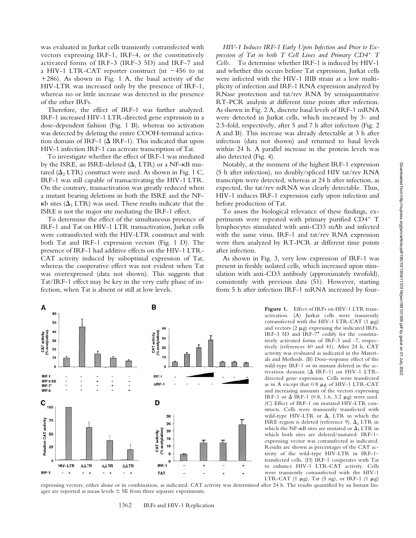was evaluated in Jurkat cells transiently cotransfected with vectors expressing IRF-1, IRF-4, or the constitutively activated forms of IRF-3 (IRF-3 5D) and IRF-7 and a HIV-1 LTR-CAT reporter construct (nt  $-456$  to nt 286). As shown in Fig. 1 A, the basal activity of the HIV-LTR was increased only by the presence of IRF-1, whereas no or little increase was detected in the presence of the other IRFs.

Therefore, the effect of IRF-1 was further analyzed. IRF-1 increased HIV-1 LTR-directed gene expression in a dose-dependent fashion (Fig. 1 B), whereas no activation was detected by deleting the entire COOH-terminal activation domain of IRF-1 ( $\Delta$  IRF-1). This indicated that upon HIV-1 infection IRF-1 can activate transcription of Tat.

To investigate whether the effect of IRF-1 was mediated by the ISRE, an ISRE-deleted  $(\Delta_1$  LTR) or a NF- $\kappa$ B mutated  $(\Delta_2$  LTR) construct were used. As shown in Fig. 1 C, IRF-1 was still capable of transactivating the HIV-1 LTR. On the contrary, transactivation was greatly reduced when a mutant bearing deletions in both the ISRE and the NF-  $\kappa$ b sites ( $\Delta$ <sub>3</sub> LTR) was used. These results indicate that the ISRE is not the major site mediating the IRF-1 effect.

To determine the effect of the simultaneous presence of IRF-1 and Tat on HIV-1 LTR transactivation, Jurkat cells were cotransfected with the HIV-LTR construct and with both Tat and IRF-1 expression vectors (Fig. 1 D). The presence of IRF-1 had additive effects on the HIV-1 LTR-CAT activity induced by suboptimal expression of Tat, whereas the cooperative effect was not evident when Tat was overexpressed (data not shown). This suggests that Tat/IRF-1 effect may be key in the very early phase of infection, when Tat is absent or still at low levels.

*HIV-1 Induces IRF-1 Early Upon Infection and Prior to Expression of Tat in both T Cell Lines and Primary CD4 T Cells.* To determine whether IRF-1 is induced by HIV-1 and whether this occurs before Tat expression, Jurkat cells were infected with the HIV-1 IIIB strain at a low multiplicity of infection and IRF-1 RNA expression analyzed by RNase protection and tat/rev RNA by semiquantitative RT-PCR analysis at different time points after infection. As shown in Fig. 2 A, discrete basal levels of IRF-1 mRNA were detected in Jurkat cells, which increased by 3- and 2.5-fold, respectively, after 5 and 7 h after infection (Fig. 2 A and B). This increase was already detectable at 3 h after infection (data not shown) and returned to basal levels within 24 h. A parallel increase in the protein levels was also detected (Fig. 4).

Notably, at the moment of the highest IRF-1 expression (5 h after infection), no doubly/spliced HIV tat/rev RNA transcripts were detected, whereas at 24 h after infection, as expected, the tat/rev mRNA was clearly detectable. Thus, HIV-1 induces IRF-1 expression early upon infection and before production of Tat.

To assess the biological relevance of these findings, experiments were repeated with primary purified CD4+ T lymphocytes stimulated with anti-CD3 mAb and infected with the same virus. IRF-1 and tat/rev RNA expression were then analyzed by RT-PCR at different time points after infection.

As shown in Fig. 3, very low expression of IRF-1 was present in freshly isolated cells, which increased upon stimulation with anti-CD3 antibody (approximately twofold), consistently with previous data (51). However, starting from 5 h after infection IRF-1 mRNA increased by four-

 $\ddot{\mathbf{0}}$ HIV-LTR  $\Delta_1$ LTR  $\Delta$ <sub>2</sub>LTR  $\Delta_3$ LTR IRF-1  $\overline{\phantom{a}}$  $\ddot{\phantom{1}}$ ۷  $\ddot{\phantom{1}}$ z  $\overline{a}$ **TAT** 

Figure 1. Effect of IRFs on HIV-1 LTR transactivation. (A) Jurkat cells were transiently cotransfected with the HIV-1 LTR-CAT (1  $\mu$ g) and vectors  $(2 \mu g)$  expressing the indicated IRFs. IRF-3 5D and IRF-7\* codify for the constitutively activated forms of IRF-3 and -7, respectively (references 40 and 41). After 24 h, CAT activity was evaluated as indicated in the Materials and Methods. (B) Dose–response effect of the wild-type IRF-1 or its mutant deleted in the activation domain ( $\Delta$  IRF-1) on HIV-1 LTRdirected gene expression. Cells were transfected as in A except that  $0.8 \mu g$  of HIV-1 LTR-CAT and increasing amounts of the vectors expressing IRF-1 or  $\Delta$  IRF-1 (0.8, 1.6, 3.2  $\mu$ g) were used. (C) Effect of IRF-1 on mutated HIV-LTR constructs. Cells were transiently transfected with wild-type HIV-LTR or  $\Delta_1$  LTR in which the ISRE region is deleted (reference 9),  $\Delta_2$  LTR in which the NF- $\kappa$ B sites are mutated or  $\Delta_3$  LTR in which both sites are deleted/mutated. IRF-1– expressing vector was cotransfected as indicated. Results are shown as percentages of the CAT activity of the wild-type HIV-LTR in IRF-1– transfected cells. (D) IRF-1 cooperates with Tat to enhance HIV-1 LTR-CAT activity. Cells were transiently cotransfected with the HIV-1 LTR-CAT (1  $\mu$ g), Tat (5 ng), or IRF-1 (1  $\mu$ g)

expressing vectors, either alone or in combination, as indicated. CAT activity was determined after 24 h. The results quantified by an Instant Imager are reported as mean levels  $\pm$  SE from three separate experiments.

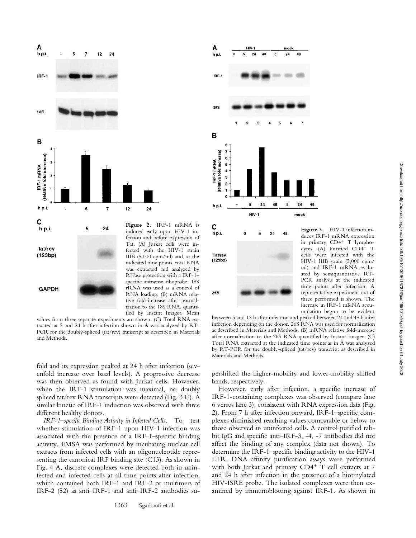



fold and its expression peaked at 24 h after infection (sevenfold increase over basal levels). A progressive decrease was then observed as found with Jurkat cells. However, when the IRF-1 stimulation was maximal, no doubly spliced tat/rev RNA transcripts were detected (Fig. 3 C). A similar kinetic of IRF-1 induction was observed with three different healthy donors.

*IRF-1–specific Binding Activity in Infected Cells.* To test whether stimulation of IRF-1 upon HIV-1 infection was associated with the presence of a IRF-1–specific binding activity, EMSA was performed by incubating nuclear cell extracts from infected cells with an oligonucleotide representing the canonical IRF binding site (C13). As shown in Fig. 4 A, discrete complexes were detected both in uninfected and infected cells at all time points after infection, which contained both IRF-1 and IRF-2 or multimers of IRF-2 (52) as anti–IRF-1 and anti–IRF-2 antibodies su-



**26S** 

**Figure 3.** HIV-1 infection induces IRF-1 mRNA expression in primary  $CD4^+$  T lymphocytes. (A) Purified CD4+ T cells were infected with the HIV-1 IIIB strain (5,000 cpm/ ml) and IRF-1 mRNA evaluated by semiquantitative RT-PCR analysis at the indicated time points after infection. A representative experiment out of three performed is shown. The increase in IRF-1 mRNA accumulation begun to be evident

between 5 and 12 h after infection and peaked between 24 and 48 h after infection depending on the donor. 26S RNA was used for normalization as described in Materials and Methods. (B) mRNA relative fold-increase after normalization to the 26S RNA quantified by Instant Imager. (C) Total RNA extracted at the indicated time points as in A was analyzed by RT-PCR for the doubly-spliced (tat/rev) transcript as described in Materials and Methods.

pershifted the higher-mobility and lower-mobility shifted bands, respectively.

However, early after infection, a specific increase of IRF-1-containing complexes was observed (compare lane 6 versus lane 3), consistent with RNA expression data (Fig. 2). From 7 h after infection onward, IRF-1–specific complexes diminished reaching values comparable or below to those observed in uninfected cells. A control purified rabbit IgG and specific anti–IRF-3, -4, -7 antibodies did not affect the binding of any complex (data not shown). To determine the IRF-1–specific binding activity to the HIV-1 LTR, DNA affinity purification assays were performed with both Jurkat and primary  $CD4^+$  T cell extracts at 7 and 24 h after infection in the presence of a biotinylated HIV-ISRE probe. The isolated complexes were then examined by immunoblotting against IRF-1. As shown in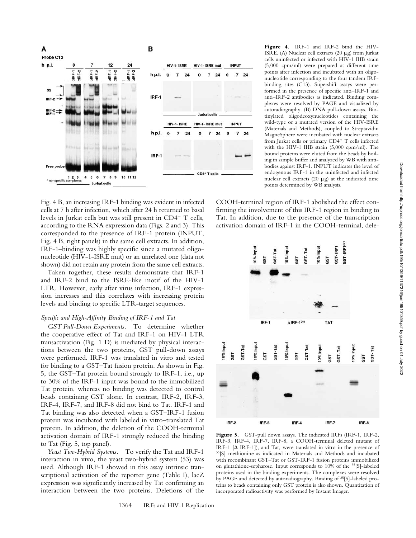

Fig. 4 B, an increasing IRF-1 binding was evident in infected cells at 7 h after infection, which after 24 h returned to basal levels in Jurkat cells but was still present in  $CD4^+$  T cells, according to the RNA expression data (Figs. 2 and 3). This corresponded to the presence of IRF-1 protein (INPUT, Fig. 4 B, right panels) in the same cell extracts. In addition, IRF-1–binding was highly specific since a mutated oligonucleotide (HIV-1-ISRE mut) or an unrelated one (data not shown) did not retain any protein from the same cell extracts.

Taken together, these results demonstrate that IRF-1 and IRF-2 bind to the ISRE-like motif of the HIV-1 LTR. However, early after virus infection, IRF-1 expression increases and this correlates with increasing protein levels and binding to specific LTR-target sequences.

# *Specific and High-Affinity Binding of IRF-1 and Tat*

*GST Pull-Down Experiments.* To determine whether the cooperative effect of Tat and IRF-1 on HIV-1 LTR transactivation (Fig. 1 D) is mediated by physical interactions between the two proteins, GST pull-down assays were performed. IRF-1 was translated in vitro and tested for binding to a GST–Tat fusion protein. As shown in Fig. 5, the GST–Tat protein bound strongly to IRF-1, i.e., up to 30% of the IRF-1 input was bound to the immobilized Tat protein, whereas no binding was detected to control beads containing GST alone. In contrast, IRF-2, IRF-3, IRF-4, IRF-7, and IRF-8 did not bind to Tat. IRF-1 and Tat binding was also detected when a GST–IRF-1 fusion protein was incubated with labeled in vitro–translated Tat protein. In addition, the deletion of the COOH-terminal activation domain of IRF-1 strongly reduced the binding to Tat (Fig. 5, top panel).

*Yeast Two-Hybrid Systems.* To verify the Tat and IRF-1 interaction in vivo, the yeast two-hybrid system (53) was used. Although IRF-1 showed in this assay intrinsic transcriptional activation of the reporter gene (Table I), lacZ expression was significantly increased by Tat confirming an interaction between the two proteins. Deletions of the

**Figure 4.** IRF-1 and IRF-2 bind the HIV-ISRE. (A) Nuclear cell extracts (20  $\mu$ g) from Jurkat cells uninfected or infected with HIV-1 IIIB strain (5,000 cpm/ml) were prepared at different time points after infection and incubated with an oligonucleotide corresponding to the four tandem IRFbinding sites (C13). Supershift assays were performed in the presence of specific anti–IRF-1 and anti–IRF-2 antibodies as indicated. Binding complexes were resolved by PAGE and visualized by autoradiography. (B) DNA pull-down assays. Biotinylated oligodeoxynucleotides containing the wild-type or a mutated version of the HIV-ISRE (Materials and Methods), coupled to Streptavidin MagneSphere were incubated with nuclear extracts from Jurkat cells or primary  $CD4^+$  T cells infected with the HIV-1 IIIB strain (5,000 cpm/ml). The bound proteins were eluted from the beads by boiling in sample buffer and analyzed by WB with antibodies against IRF-1. INPUT indicates the level of endogenous IRF-1 in the uninfected and infected nuclear cell extracts (20  $\mu$ g) at the indicated time points determined by WB analysis.

COOH-terminal region of IRF-1 abolished the effect confirming the involvement of this IRF-1 region in binding to Tat. In addition, due to the presence of the transcription activation domain of IRF-1 in the COOH-terminal, dele-



**Figure 5.** GST-pull down assays. The indicated IRFs (IRF-1, IRF-2, IRF-3, IRF-4, IRF-7, IRF-8, a COOH-terminal deleted mutant of IRF-1  $[Δ IRF-1]$ ), and Tat, were translated in vitro in the presence of 35[S] methionine as indicated in Materials and Methods and incubated with recombinant GST–Tat or GST-IRF-1 fusion proteins immobilized on glutathione-sepharose. Input corresponds to 10% of the 35[S]-labeled proteins used in the binding experiments. The complexes were resolved by PAGE and detected by autoradiography. Binding of 35[S]-labeled proteins to beads containing only GST protein is also shown. Quantitation of incorporated radioactivity was performed by Instant Imager.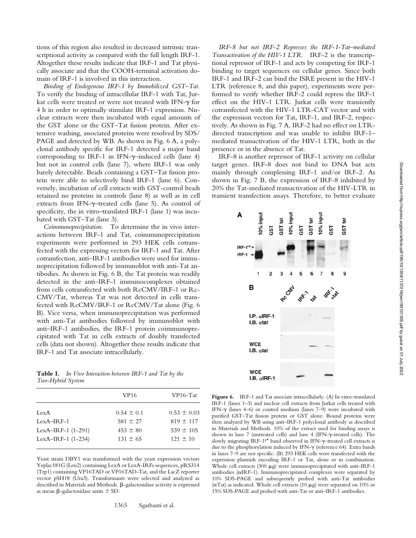tions of this region also resulted in decreased intrinsic transcriptional activity as compared with the full length IRF-1. Altogether these results indicate that IRF-1 and Tat physically associate and that the COOH-terminal activation domain of IRF-1 is involved in this interaction.

*Binding of Endogenous IRF-1 by Immobilized GST–Tat.* To verify the binding of intracellular IRF-1 with Tat, Jurkat cells were treated or were not treated with IFN- $\gamma$  for 4 h in order to optimally stimulate IRF-1 expression. Nuclear extracts were then incubated with equal amounts of the GST alone or the GST–Tat fusion protein. After extensive washing, associated proteins were resolved by SDS/ PAGE and detected by WB. As shown in Fig. 6 A, a polyclonal antibody specific for IRF-1 detected a major band corresponding to IRF-1 in IFN- $\gamma$ -induced cells (lane 4) but not in control cells (lane 7), where IRF-1 was only barely detectable. Beads containing a GST–Tat fusion protein were able to selectively bind IRF-1 (lane 6). Conversely, incubation of cell extracts with GST-control beads retained no proteins in controls (lane 8) as well as in cell extracts from IFN- $\gamma$ -treated cells (lane 5). As control of specificity, the in vitro–translated IRF-1 (lane 1) was incubated with GST–Tat (lane 3).

*Coimmunoprecipitation.* To determine the in vivo interactions between IRF-1 and Tat, coimmunoprecipitation experiments were performed in 293 HEK cells cotransfected with the expressing vectors for IRF-1 and Tat. After cotransfection, anti–IRF-1 antibodies were used for immunoprecipitation followed by immunoblot with anti-Tat antibodies. As shown in Fig. 6 B, the Tat protein was readily detected in the anti–IRF-1 immunocomplexes obtained from cells cotransfected with both RcCMV/IRF-1 or Rc-CMV/Tat, whereas Tat was not detected in cells transfected with RcCMV/IRF-1 or RcCMV/Tat alone (Fig. 6 B). Vice versa, when immunoprecipitation was performed with anti-Tat antibodies followed by immunoblot with anti–IRF-1 antibodies, the IRF-1 protein coimmunoprecipitated with Tat in cells extracts of doubly transfected cells (data not shown). Altogether these results indicate that IRF-1 and Tat associate intracellularly.

**Table I.** *In Vivo Interaction between IRF-1 and Tat by the Two-Hybrid System*

| VP16           | $VP16$ -Tat     |
|----------------|-----------------|
| $0.54 \pm 0.1$ | $0.53 \pm 0.03$ |
| $581 \pm 27$   | $819 \pm 117$   |
| $453 \pm 80$   | $539 \pm 105$   |
| $131 \pm 65$   | $121 \pm 10$    |
|                |                 |

Yeast strain DBY1 was transformed with the yeast expression vectors Yeplac181G (Leu2) containing LexA or LexA-IRFs sequences, pRS314 (Trp1) containing VP16TAD or VP16TAD-Tat, and the LacZ reporter vector pSH18 (Ura3). Transformants were selected and analyzed as described in Materials and Methods.  $\beta$ -galactosidase activity is expressed as mean  $\beta$ -galactosidase units  $\pm$  SD.

*IRF-8 but not IRF-2 Represses the IRF-1-Tat–mediated Transactivation of the HIV-1 LTR.* IRF-2 is the transcriptional repressor of IRF-1 and acts by competing for IRF-1 binding to target sequences on cellular genes. Since both IRF-1 and IRF-2 can bind the ISRE present in the HIV-1 LTR (reference 8, and this paper), experiments were performed to verify whether IRF-2 could repress the IRF-1 effect on the HIV-1 LTR. Jurkat cells were transiently cotransfected with the HIV-1 LTR-CAT vector and with the expression vectors for Tat, IRF-1, and IRF-2, respectively. As shown in Fig. 7 A, IRF-2 had no effect on LTRdirected transcription and was unable to inhibit IRF-1– mediated transactivation of the HIV-1 LTR, both in the presence or in the absence of Tat.

IRF-8 is another repressor of IRF-1 activity on cellular target genes. IRF-8 does not bind to DNA but acts mainly through complessing IRF-1 and/or IRF-2. As shown in Fig. 7 B, the expression of IRF-8 inhibited by 20% the Tat-mediated transactivation of the HIV-LTR in transient transfection assays. Therefore, to better evaluate



Figure 6. IRF-1 and Tat associate intracellularly. (A) In vitro-translated IRF-1 (lanes 1–3) and nuclear cell extracts from Jurkat cells treated with IFN- $\gamma$  (lanes 4–6) or control medium (lanes 7–9) were incubated with purified GST–Tat fusion protein or GST alone. Bound proteins were then analyzed by WB using anti–IRF-1 polyclonal antibody as described in Materials and Methods. 10% of the extract used for binding assays is shown in lane 7 (untreated cells) and lane 4 (IFN- $\gamma$ -treated cells). The slowly migrating IRF-1<sup>p\*</sup> band observed in IFN- $\gamma$ -treated cell extracts is due to the phosphorylation induced by IFN- $\gamma$  (reference 64). Extra bands in lanes 7–9 are not specific. (B) 293 HEK cells were transfected with the expression plasmids encoding IRF-1 or Tat, alone or in combination. Whole cell extracts (300  $\mu$ g) were immunoprecipitated with anti-IRF-1 antibodies ( $\alpha$ IRF-1). Immunoprecipitated complexes were separated by 10% SDS-PAGE and subsequently probed with anti-Tat antibodies ( $\alpha$ Tat) as indicated. Whole cell extracts (10  $\mu$ g) were separated on 10% or 15% SDS-PAGE and probed with anti-Tat or anti–IRF-1 antibodies.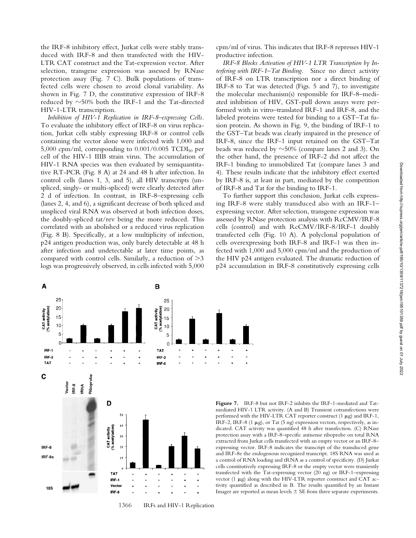the IRF-8 inhibitory effect, Jurkat cells were stably transduced with IRF-8 and then transfected with the HIV-LTR CAT construct and the Tat-expression vector. After selection, transgene expression was assessed by RNase protection assay (Fig. 7 C). Bulk populations of transfected cells were chosen to avoid clonal variability. As shown in Fig. 7 D, the constitutive expression of IRF-8 reduced by  $\sim$ 50% both the IRF-1 and the Tat-directed HIV-1-LTR transcription.

*Inhibition of HIV-1 Replication in IRF-8–expressing Cells.* To evaluate the inhibitory effect of IRF-8 on virus replication, Jurkat cells stably expressing IRF-8 or control cells containing the vector alone were infected with 1,000 and 5,000 cpm/ml, corresponding to  $0.001/0.005$  TCDI<sub>50</sub> per cell of the HIV-1 IIIB strain virus. The accumulation of HIV-1 RNA species was then evaluated by semiquantitative RT-PCR (Fig. 8 A) at 24 and 48 h after infection. In control cells (lanes 1, 3, and 5), all HIV transcripts (unspliced, singly- or multi-spliced) were clearly detected after 2 d of infection. In contrast, in IRF-8–expressing cells (lanes 2, 4, and 6), a significant decrease of both spliced and unspliced viral RNA was observed at both infection doses, the doubly-spliced tat/rev being the more reduced. This correlated with an abolished or a reduced virus replication (Fig. 8 B). Specifically, at a low multiplicity of infection, p24 antigen production was, only barely detectable at 48 h after infection and undetectable at later time points, as compared with control cells. Similarly, a reduction of  $>3$ logs was progressively observed, in cells infected with 5,000

 $\mathbf{A}$ 

cpm/ml of virus. This indicates that IRF-8 represses HIV-1 productive infection.

*IRF-8 Blocks Activation of HIV-1 LTR Transcription by Interfering with IRF-1–Tat Binding.* Since no direct activity of IRF-8 on LTR transcription nor a direct binding of IRF-8 to Tat was detected (Figs. 5 and 7), to investigate the molecular mechanism(s) responsible for IRF-8–mediated inhibition of HIV, GST-pull down assays were performed with in vitro–translated IRF-1 and IRF-8, and the labeled proteins were tested for binding to a GST–Tat fusion protein. As shown in Fig. 9, the binding of IRF-1 to the GST–Tat beads was clearly impaired in the presence of IRF-8, since the IRF-1 input retained on the GST–Tat beads was reduced by  $\sim$ 50% (compare lanes 2 and 3). On the other hand, the presence of IRF-2 did not affect the IRF-1 binding to immobilized Tat (compare lanes 3 and 4). These results indicate that the inhibitory effect exerted by IRF-8 is, at least in part, mediated by the competition of IRF-8 and Tat for the binding to IRF-1.

To further support this conclusion, Jurkat cells expressing IRF-8 were stably transduced also with an IRF-1– expressing vector. After selection, transgene expression was assessed by RNase protection analysis with RcCMV/IRF-8 cells (control) and with RcCMV/IRF-8/IRF-1 doubly transfected cells (Fig. 10 A). A polyclonal population of cells overexpressing both IRF-8 and IRF-1 was then infected with 1,000 and 5,000 cpm/ml and the production of the HIV p24 antigen evaluated. The dramatic reduction of p24 accumulation in IRF-8 constitutively expressing cells

**Figure 7.** IRF-8 but not IRF-2 inhibits the IRF-1-mediated and Tatmediated HIV-1 LTR activity. (A and B) Transient cotransfections were performed with the HIV-LTR CAT reporter construct  $(1 \mu g)$  and IRF-1, IRF-2, IRF-8 (1  $\mu$ g), or Tat (5 ng) expression vectors, respectively, as indicated. CAT activity was quantified 48 h after transfection. (C) RNase protection assay with a IRF-8–specific antisense riboprobe on total RNA extracted from Jurkat cells transfected with an empty vector or an IRF-8– expressing vector. IRF-8 indicates the transcript of the transduced gene and IRF-8e the endogenous recognized transcript. 18S RNA was used as a control of RNA loading and tRNA as a control of specificity. (D) Jurkat cells constitutively expressing IRF-8 or the empty vector were transiently transfected with the Tat-expressing vector (20 ng) or IRF-1–expressing vector  $(1 \mu g)$  along with the HIV-LTR reporter construct and CAT activity quantified as described in B. The results quantified by an Instant Imager are reported as mean levels  $\pm$  SE from three separate experiments.





B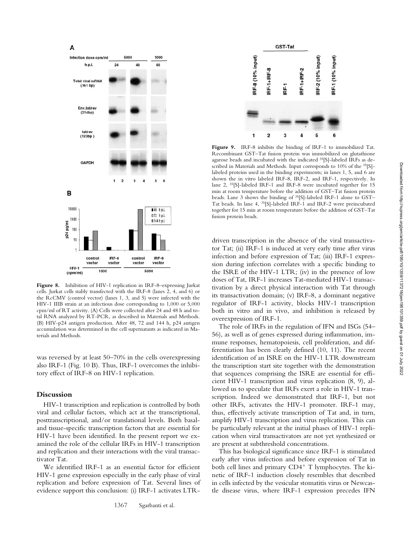

Figure 8. Inhibition of HIV-1 replication in IRF-8-expressing Jurkat cells. Jurkat cells stably transfected with the IRF-8 (lanes 2, 4, and 6) or the RcCMV (control vector) (lanes 1, 3, and 5) were infected with the HIV-1 IIIB strain at an infectious dose corresponding to 1,000 or 5,000 cpm/ml of RT activity. (A) Cells were collected after 24 and 48 h and total RNA analyzed by RT-PCR, as described in Materials and Methods. (B) HIV-p24 antigen production. After 48, 72 and 144 h, p24 antigen accumulation was determined in the cell supernatants as indicated in Materials and Methods.

was reversed by at least 50–70% in the cells overexpressing also IRF-1 (Fig. 10 B). Thus, IRF-1 overcomes the inhibitory effect of IRF-8 on HIV-1 replication.

# **Discussion**

HIV-1 transcription and replication is controlled by both viral and cellular factors, which act at the transcriptional, posttranscriptional, and/or translational levels. Both basaland tissue-specific transcription factors that are essential for HIV-1 have been identified. In the present report we examined the role of the cellular IRFs in HIV-1 transcription and replication and their interactions with the viral transactivator Tat.

We identified IRF-1 as an essential factor for efficient HIV-1 gene expression especially in the early phase of viral replication and before expression of Tat. Several lines of evidence support this conclusion: (i) IRF-1 activates LTR-



**Figure 9.** IRF-8 inhibits the binding of IRF-1 to immobilized Tat. Recombinant GST–Tat fusion protein was immobilized on glutathione agarose beads and incubated with the indicated 35[S]-labeled IRFs as described in Materials and Methods. Input corresponds to 10% of the <sup>35</sup>[S]labeled proteins used in the binding experiments; in lanes 1, 5, and 6 are shown the in vitro labeled IRF-8, IRF-2, and IRF-1, respectively. In lane 2, 35[S]-labeled IRF-1 and IRF-8 were incubated together for 15 min at room temperature before the addition of GST–Tat fusion protein beads. Lane 3 shows the binding of 35[S]-labeled IRF-1 alone to GST– Tat beads. In lane 4, 35[S]-labeled IRF-1 and IRF-2 were preincubated together for 15 min at room temperature before the addition of GST–Tat fusion protein beads.

driven transcription in the absence of the viral transactivator Tat; (ii) IRF-1 is induced at very early time after virus infection and before expression of Tat; (iii) IRF-1 expression during infection correlates with a specific binding to the ISRE of the HIV-1 LTR; (iv) in the presence of low doses of Tat, IRF-1 increases Tat-mediated HIV-1 transactivation by a direct physical interaction with Tat through its transactivation domain; (v) IRF-8, a dominant negative regulator of IRF-1 activity, blocks HIV-1 transcription both in vitro and in vivo, and inhibition is released by overexpression of IRF-1.

The role of IRFs in the regulation of IFN and ISGs (54– 56), as well as of genes expressed during inflammation, immune responses, hematopoiesis, cell proliferation, and differentiation has been clearly defined (10, 11). The recent identification of an ISRE on the HIV-1 LTR downstream the transcription start site together with the demonstration that sequences comprising the ISRE are essential for efficient HIV-1 transcription and virus replication (8, 9), allowed us to speculate that IRFs exert a role in HIV-1 transcription. Indeed we demonstrated that IRF-1, but not other IRFs, activates the HIV-1 promoter. IRF-1 may, thus, effectively activate transcription of Tat and, in turn, amplify HIV-1 transcription and virus replication. This can be particularly relevant at the initial phases of HIV-1 replication when viral transactivators are not yet synthesized or are present at subthreshold concentrations.

This has biological significance since IRF-1 is stimulated early after virus infection and before expression of Tat in both cell lines and primary  $CD4^+$  T lymphocytes. The kinetic of IRF-1 induction closely resembles that described in cells infected by the vesicular stomatitis virus or Newcastle disease virus, where IRF-1 expression precedes IFN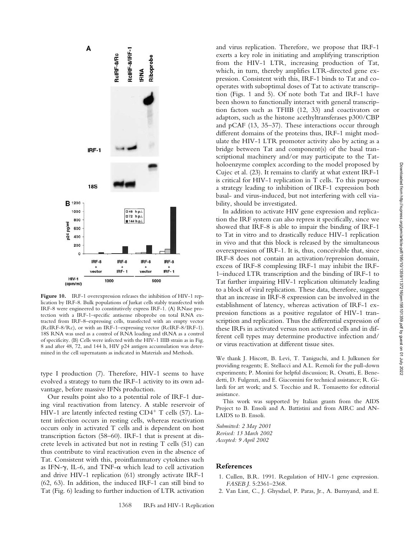

Figure 10. IRF-1 overexpression releases the inhibition of HIV-1 replication by IRF-8. Bulk populations of Jurkat cells stably transfected with IRF-8 were engineered to constitutively express IRF-1. (A) RNase protection with a IRF-1–specific antisense riboprobe on total RNA extracted from IRF-8–expressing cells, transfected with an empty vector (RcIRF-8/Rc), or with an IRF-1–expressing vector (RcIRF-8/IRF-1). 18S RNA was used as a control of RNA loading and tRNA as a control of specificity. (B) Cells were infected with the HIV-1 IIIB strain as in Fig. 8 and after 48, 72, and 144 h, HIV p24 antigen accumulation was determined in the cell supernatants as indicated in Materials and Methods.

type I production (7). Therefore, HIV-1 seems to have evolved a strategy to turn the IRF-1 activity to its own advantage, before massive IFNs production.

Our results point also to a potential role of IRF-1 during viral reactivation from latency. A stable reservoir of HIV-1 are latently infected resting  $CD4^+$  T cells (57). Latent infection occurs in resting cells, whereas reactivation occurs only in activated T cells and is dependent on host transcription factors (58–60). IRF-1 that is present at discrete levels in activated but not in resting T cells (51) can thus contribute to viral reactivation even in the absence of Tat. Consistent with this, proinflammatory cytokines such as IFN- $\gamma$ , IL-6, and TNF- $\alpha$  which lead to cell activation and drive HIV-1 replication (61) strongly activate IRF-1 (62, 63). In addition, the induced IRF-1 can still bind to Tat (Fig. 6) leading to further induction of LTR activation

and virus replication. Therefore, we propose that IRF-1 exerts a key role in initiating and amplifying transcription from the HIV-1 LTR, increasing production of Tat, which, in turn, thereby amplifies LTR-directed gene expression. Consistent with this, IRF-1 binds to Tat and cooperates with suboptimal doses of Tat to activate transcription (Figs. 1 and 5). Of note both Tat and IRF-1 have been shown to functionally interact with general transcription factors such as TFIIB (12, 33) and coactivators or adaptors, such as the histone acethyltransferases p300/CBP and pCAF (13, 35–37). These interactions occur through different domains of the proteins thus, IRF-1 might modulate the HIV-1 LTR promoter activity also by acting as a bridge between Tat and component(s) of the basal transcriptional machinery and/or may participate to the Tatholoenzyme complex according to the model proposed by Cujec et al. (23). It remains to clarify at what extent IRF-1 is critical for HIV-1 replication in T cells. To this purpose a strategy leading to inhibition of IRF-1 expression both basal- and virus-induced, but not interfering with cell viability, should be investigated.

In addition to activate HIV gene expression and replication the IRF system can also repress it specifically, since we showed that IRF-8 is able to impair the binding of IRF-1 to Tat in vitro and to drastically reduce HIV-1 replication in vivo and that this block is released by the simultaneous overexpression of IRF-1. It is, thus, conceivable that, since IRF-8 does not contain an activation/repression domain, excess of IRF-8 complessing IRF-1 may inhibit the IRF-1–induced LTR transcription and the binding of IRF-1 to Tat further impairing HIV-1 replication ultimately leading to a block of viral replication. These data, therefore, suggest that an increase in IRF-8 expression can be involved in the establishment of latency, whereas activation of IRF-1 expression functions as a positive regulator of HIV-1 transcription and replication. Thus the differential expression of these IRFs in activated versus non activated cells and in different cell types may determine productive infection and/ or virus reactivation at different tissue sites.

We thank J. Hiscott, B. Levi, T. Taniguchi, and I. Julkunen for providing reagents; E. Stellacci and A.L. Remoli for the pull-down experiments; P. Monini for helpful discussion; R. Orsatti, E. Benedetti, D. Fulgenzi, and E. Giacomini for technical assistance; R. Gilardi for art work; and S. Tocchio and R. Tomasetto for editorial assistance.

This work was supported by Italian grants from the AIDS Project to B. Ensoli and A. Battistini and from AIRC and AN-LAIDS to B. Ensoli.

*Submitted: 2 May 2001 Revised: 13 March 2002 Accepted: 9 April 2002*

### **References**

- 1. Cullen, B.R. 1991. Regulation of HIV-1 gene expression. *FASEB J.* 5:2361–2368.
- 2. Van Lint, C., J. Ghysdael, P. Paras, Jr., A. Burnyand, and E.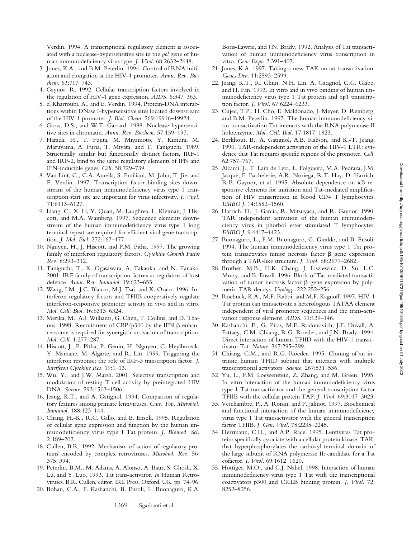Verdin. 1994. A transcriptional regulatory element is associated with a nuclease-hypersensitive site in the *pol* gene of human immunodeficiency virus type. *J. Virol.* 68:2632–2648.

- 3. Jones, K.A., and B.M. Peterlin. 1994. Control of RNA initiation and elongation at the HIV-1 promoter. *Annu. Rev. Biochem.* 63:717–743.
- 4. Gaynor, R. 1992. Cellular transcription factors involved in the regulation of HIV-1 gene expression. *AIDS.* 6:347–363.
- 5. el Kharroubi, A., and E. Verdin. 1994. Protein-DNA interactions within DNase I-hypersensitive sites located downstream of the HIV-1 promoter. *J. Biol. Chem.* 269:19916–19924.
- 6. Gross, D.S., and W.T. Garrard. 1988. Nuclease hypersensitive sites in chromatin. *Annu. Rev. Biochem.* 57:159–197.
- 7. Harada, H., T. Fujita, M. Miyamoto, Y. Kimura, M. Maruyama, A. Furia, T. Miyata, and T. Taniguchi. 1989. Structurally similar but functionally distinct factors, IRF-1 and IRF-2, bind to the same regulatory elements of IFN and IFN-inducible genes. *Cell.* 58:729–739.
- 8. Van Lint, C., C.A. Amella, S. Emiliani, M. John, T. Jie, and E. Verdin. 1997. Transcription factor binding sites downstream of the human immunodeficiency virus type 1 transcription start site are important for virus infectivity. *J. Virol.* 71:6113–6127.
- 9. Liang, C., X. Li, Y. Quan, M. Laughrea, L. Kleiman, J. Hiscott, and M.A. Wainberg. 1997. Sequence elements downstream of the human immunodeficiency virus type 1 long terminal repeat are required for efficient viral gene transcription. *J. Mol. Biol.* 272:167–177.
- 10. Nguyen, H., J. Hiscott, and P.M. Pitha. 1997. The growing family of interferon regulatory factors. *Cytokine Growth Factor Rev.* 8:293–312.
- 11. Taniguchi, T., K. Ogasawara, A. Takaoka, and N. Tanaka. 2001. IRF family of transcription factors as regulators of host defence. *Annu. Rev. Immunol.* 19:623–655.
- 12. Wang, I.M., J.C. Blanco, M.J. Tsai, and K. Ozato. 1996. Interferon regulatory factors and TFIIB cooperatively regulate interferon-responsive promoter activity in vivo and in vitro. *Mol. Cell. Biol.* 16:6313–6324.
- 13. Merika, M., A.J. Williams, G. Chen, T. Collins, and D. Thanos. 1998. Recruitment of CBP/p300 by the IFN  $\beta$  enhanceosome is required for synergistic activation of transcription. *Mol. Cell.* 1:277–287.
- 14. Hiscott, J., P. Pitha, P. Genin, H. Nguyen, C. Heylbroeck, Y. Mamane, M. Algarte, and R. Lin. 1999. Triggering the interferon response: the role of IRF-3 transcription factor. *J. Interferon Cytokine Res.* 19:1–13.
- 15. Wu, Y., and J.W. Marsh. 2001. Selective transcription and modulation of resting T cell activity by preintegrated HIV DNA. *Science.* 293:1503–1506.
- 16. Jeang, K.T., and A. Gatignol. 1994. Comparison of regulatory features among primate lentiviruses. *Curr. Top. Microbiol. Immunol.* 188:123–144.
- 17. Chang, H.-K., R.C. Gallo, and B. Ensoli. 1995. Regulation of cellular gene expression and function by the human immunodeficiency virus type 1 Tat protein. *J. Biomed. Sci.* 2:189–202.
- 18. Cullen, B.R. 1992. Mechanism of action of regulatory proteins encoded by complex retroviruses. *Microbiol. Rev.* 56: 375–394.
- 19. Peterlin, B.M., M. Adams, A. Alonso, A. Baur, S. Ghosh, X. Lu, and Y. Luo. 1993. Tat trans-activator. *In* Human Retroviruses. B.R. Cullen, editor. IRL Press, Oxford, UK. pp. 74–96.
- 20. Bohan, C.A., F. Kashanchi, B. Ensoli, L. Buonaguro, K.A.

Boris-Lawrie, and J.N. Brady. 1992. Analysis of Tat transactivation of human immunodeficiency virus transcription in vitro. *Gene Expr.* 2:391–407.

- 21. Jones, K.A. 1997. Taking a new TAK on tat transactivation. *Genes Dev*. 11:2593–2599.
- 22. Jeang, K.T., R. Chun, N.H. Lin, A. Gatignol, C.G. Glabe, and H. Fan. 1993. In vitro and in vivo binding of human immunodeficiency virus type 1 Tat protein and Sp1 transcription factor*. J. Virol.* 67:6224–6233.
- 23. Cujec, T.P., H. Cho, E. Maldonado, J. Meyer, D. Reinberg, and B.M. Peterlin. 1997. The human immunodeficiency virus transactivation Tat interacts with the RNA polymerase II holoenzyme. *Mol. Cell. Biol.* 17:1817–1823.
- 24. Berkhout, B., A. Gatignol, A.B. Rabson, and K.-T. Jeang. 1990. TAR-independent activation of the HIV-1 LTR: evidence that Tat requires specific regions of the promoter. *Cell.* 62:757–767.
- 25. Alcami, J., T. Lain de Lera, L. Folgueira, M.A. Pedraza, J.M. Jacqué, F. Bachelerie, A.R. Noriega, R.T. Hay, D. Harrich, R.B. Gaynor, et al. 1995. Absolute dependence on  $\kappa$ B responsive elements for initiation and Tat-mediated amplification of HIV transcription in blood CD4 T lymphocytes. *EMBO J.* 14:1552–1560.
- 26. Harrich, D., J. Garcia, R. Mitsuyasu, and R. Gaynor. 1990. TAR independent activation of the human immunodeficiency virus in phorbol ester stimulated T lymphocytes. *EMBO J.* 9:4417–4423.
- 27. Buonaguro, L., F.M. Buonaguro, G. Giraldo, and B. Ensoli. 1994. The human immunodeficiency virus type 1 Tat protein transactivates tumor necrosis factor  $\beta$  gene expression through a TAR-like structure. *J. Virol.* 68:2677–2682.
- 28. Brother, M.B., H.K. Chang, J. Lisziewicz, D. Su, L.C. Murty, and B. Ensoli. 1996. Block of Tat-mediated transactivation of tumor necrosis factor  $\beta$  gene expression by polymeric-TAR decoys. *Virology.* 222:252–256.
- 29. Roebuck, K.A., M.F. Rabbi, and M.F. Kagnoff. 1997. HIV-1 Tat protein can transactivate a heterologous TATAA element independent of viral promoter sequences and the trans-activation response element. *AIDS.* 11:139–146.
- 30. Kashanchi, F., G. Piras, M.F. Radonovich, J.F. Duvall, A. Fattaey, C.M. Chiang, R.G. Roeder, and J.N. Brady. 1994. Direct interaction of human TFIID with the HIV-1 transactivator Tat. *Nature.* 367:295–299.
- 31. Chiang, C.M., and R.G. Roeder. 1995. Cloning of an intrinsic human TFIID subunit that interacts with multiple transcriptional activators. *Science.* 267:531–536.
- 32. Yu, L., P.M. Loewenstein, Z. Zhang, and M. Green. 1995. In vitro interaction of the human immunodeficiency virus type 1 Tat transactivator and the general transcription factor TFIIB with the cellular protein TAP. *J. Virol.* 69:3017–3023.
- 33. Veschambre, P., A. Roisin, and P. Jalinot. 1997. Biochemical and functional interaction of the human immunodeficiency virus type 1 Tat transactivator with the general transcription factor TFIIB. *J. Gen. Virol.* 78:2235–2245.
- 34. Herrmann, C.H., and A.P. Rice. 1995. Lentivirus Tat proteins specifically associate with a cellular protein kinase, TAK, that hyperphosphorylates the carboxyl-terminal domain of the large subunit of RNA polymerase II: candidate for a Tat cofactor. *J. Virol.* 69:1612–1620.
- 35. Hottiger, M.O., and G.J. Nabel. 1998. Interaction of human immunodeficiency virus type 1 Tat with the transcriptional coactivators p300 and CREB binding protein. *J. Virol.* 72: 8252–8256.